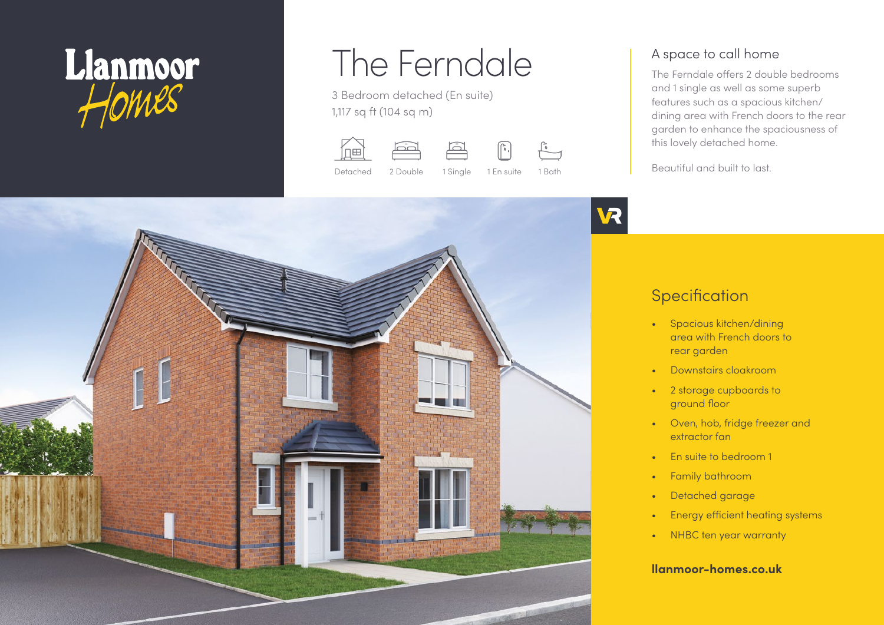

# The Ferndale

3 Bedroom detached (En suite) 1,117 sq ft (104 sq m)







Detached 2 Double 1 Single 1 En suite 1 Bath



### A space to call home

The Ferndale offers 2 double bedrooms and 1 single as well as some superb features such as a spacious kitchen/ dining area with French doors to the rear garden to enhance the spaciousness of this lovely detached home.

Beautiful and built to last.



# **Specification**

- Spacious kitchen/dining area with French doors to rear garden
- Downstairs cloakroom
- 2 storage cupboards to ground floor
- Oven, hob, fridge freezer and extractor fan
- En suite to bedroom 1
- Family bathroom
- Detached garage
- Energy efficient heating systems
- NHBC ten year warranty

#### **llanmoor-homes.co.uk**